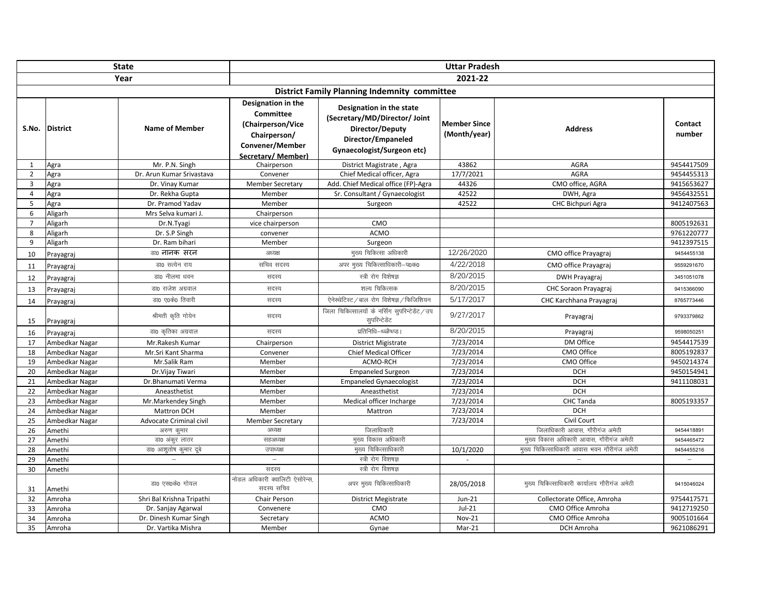| <b>State</b>   |                 |                           | <b>Uttar Pradesh</b>                                                                                         |                                                                                                                                  |                                     |                                             |                          |  |  |
|----------------|-----------------|---------------------------|--------------------------------------------------------------------------------------------------------------|----------------------------------------------------------------------------------------------------------------------------------|-------------------------------------|---------------------------------------------|--------------------------|--|--|
| Year           |                 |                           | 2021-22                                                                                                      |                                                                                                                                  |                                     |                                             |                          |  |  |
|                |                 |                           |                                                                                                              | <b>District Family Planning Indemnity committee</b>                                                                              |                                     |                                             |                          |  |  |
| S.No.          | <b>District</b> | <b>Name of Member</b>     | Designation in the<br>Committee<br>(Chairperson/Vice<br>Chairperson/<br>Convener/Member<br>Secretary/Member) | Designation in the state<br>(Secretary/MD/Director/ Joint<br>Director/Deputy<br>Director/Empaneled<br>Gynaecologist/Surgeon etc) | <b>Member Since</b><br>(Month/year) | <b>Address</b>                              | Contact<br>number        |  |  |
| $\mathbf{1}$   | Agra            | Mr. P.N. Singh            | Chairperson                                                                                                  | District Magistrate, Agra                                                                                                        | 43862                               | AGRA                                        | 9454417509               |  |  |
| $\overline{z}$ | Agra            | Dr. Arun Kumar Srivastava | Convener                                                                                                     | Chief Medical officer, Agra                                                                                                      | 17/7/2021                           | <b>AGRA</b>                                 | 9454455313               |  |  |
| $\overline{3}$ | Agra            | Dr. Vinay Kumar           | <b>Member Secretary</b>                                                                                      | Add. Chief Medical office (FP)-Agra                                                                                              | 44326                               | CMO office, AGRA                            | 9415653627               |  |  |
| $\overline{a}$ | Agra            | Dr. Rekha Gupta           | Member                                                                                                       | Sr. Consultant / Gynaecologist                                                                                                   | 42522                               | DWH, Agra                                   | 9456432551               |  |  |
| 5              | Agra            | Dr. Pramod Yadav          | Member                                                                                                       | Surgeon                                                                                                                          | 42522                               | CHC Bichpuri Agra                           | 9412407563               |  |  |
| 6              | Aligarh         | Mrs Selva kumari J.       | Chairperson                                                                                                  |                                                                                                                                  |                                     |                                             |                          |  |  |
| $\overline{7}$ | Aligarh         | Dr.N.Tyagi                | vice chairperson                                                                                             | CMO                                                                                                                              |                                     |                                             | 8005192631               |  |  |
| 8              | Aligarh         | Dr. S.P Singh             | convener                                                                                                     | <b>ACMO</b>                                                                                                                      |                                     |                                             | 9761220777               |  |  |
| 9              | Aligarh         | Dr. Ram bihari            | Member                                                                                                       | Surgeon                                                                                                                          |                                     |                                             | 9412397515               |  |  |
| 10             | Prayagraj       | डा0 नानक सरन              | अध्यक्ष                                                                                                      | मुख्य चिकित्सा अधिकारी                                                                                                           | 12/26/2020                          | CMO office Prayagraj                        | 9454455138               |  |  |
| 11             | Prayagraj       | डा0 सत्येन राय            | सचिव सदस्य                                                                                                   | अपर मुख्य चिकित्साधिकारी-प0क0                                                                                                    | 4/22/2018                           | CMO office Prayagraj                        | 9559291670               |  |  |
| 12             | Prayagraj       | डा0 नीलमा धवन             | सदस्य                                                                                                        | स्त्री रोग विशेषज्ञ                                                                                                              | 8/20/2015                           | <b>DWH Prayagraj</b>                        | 3451051078               |  |  |
| 13             | Prayagraj       | डा0 राजेश अग्रवाल         | सदस्य                                                                                                        | शल्य चिकित्सक                                                                                                                    | 8/20/2015                           | CHC Soraon Prayagraj                        | 9415366090               |  |  |
| 14             | Prayagraj       | डा0 ए0के0 तिवारी          | सदस्य                                                                                                        | ऐनेस्थेटिस्ट / बाल रोग विशेषज्ञ / फिजिशियन                                                                                       | 5/17/2017                           | CHC Karchhana Prayagraj                     | 8765773446               |  |  |
| 15             | Prayagraj       | श्रीमती कृति गोयेन        | सदस्य                                                                                                        | जिला चिकित्सालयों के नर्सिंग सुपरिन्टेडेंट / उप<br>सुपरिन्टेडेंट                                                                 | 9/27/2017                           | Prayagraj                                   | 9793379862               |  |  |
| 16             | Prayagraj       | डा0 कृतिका अग्रवाल        | सदस्य                                                                                                        | प्रतिनिधि–थ्ळ्ळैप्ध्प्ड।                                                                                                         | 8/20/2015                           | Prayagraj                                   | 9598050251               |  |  |
| 17             | Ambedkar Nagar  | Mr.Rakesh Kumar           | Chairperson                                                                                                  | <b>District Migistrate</b>                                                                                                       | 7/23/2014                           | DM Office                                   | 9454417539               |  |  |
| 18             | Ambedkar Nagar  | Mr.Sri Kant Sharma        | Convener                                                                                                     | <b>Chief Medical Officer</b>                                                                                                     | 7/23/2014                           | CMO Office                                  | 8005192837               |  |  |
| 19             | Ambedkar Nagar  | Mr.Salik Ram              | Member                                                                                                       | ACMO-RCH                                                                                                                         | 7/23/2014                           | CMO Office                                  | 9450214374               |  |  |
| 20             | Ambedkar Nagar  | Dr.Vijay Tiwari           | Member                                                                                                       | <b>Empaneled Surgeon</b>                                                                                                         | 7/23/2014                           | <b>DCH</b>                                  | 9450154941               |  |  |
| 21             | Ambedkar Nagar  | Dr.Bhanumati Verma        | Member                                                                                                       | <b>Empaneled Gynaecologist</b>                                                                                                   | 7/23/2014                           | <b>DCH</b>                                  | 9411108031               |  |  |
| 22             | Ambedkar Nagar  | Aneasthetist              | Member                                                                                                       | Aneasthetist                                                                                                                     | 7/23/2014                           | <b>DCH</b>                                  |                          |  |  |
| 23             | Ambedkar Nagar  | Mr.Markendey Singh        | Member                                                                                                       | Medical officer Incharge                                                                                                         | 7/23/2014                           | CHC Tanda                                   | 8005193357               |  |  |
| 24             | Ambedkar Nagar  | Mattron DCH               | Member                                                                                                       | Mattron                                                                                                                          | 7/23/2014                           | <b>DCH</b>                                  |                          |  |  |
| 25             | Ambedkar Nagar  | Advocate Criminal civil   | <b>Member Secretary</b>                                                                                      |                                                                                                                                  | 7/23/2014                           | Civil Court                                 |                          |  |  |
| 26             | Amethi          | अरुण कुमार                | अध्यक्ष                                                                                                      | जिलाधिकारी                                                                                                                       |                                     | जिलाधिकारी आवास, गौरीगंज अमेठी              | 9454418891               |  |  |
| 27             | Amethi          | डा0 अंकुर लाठर            | सहअध्यक्ष                                                                                                    | मुख्य विकास अधिकारी                                                                                                              |                                     | मुख्य विकास अधिकारी आवास, गौरीगंज अमेठी     | 9454465472               |  |  |
| 28             | Amethi          | डा0 आशुतोष कुमार दूबे     | उपाध्यक्ष                                                                                                    | मुख्य चिकित्साधिकारी                                                                                                             | 10/1/2020                           | मुख्य चिकित्साधिकारी आवास भवन गौरीगंज अमेठी | 9454455216               |  |  |
| 29             | Amethi          |                           | $\qquad \qquad -$                                                                                            | स्त्री रोग विशषज्ञ                                                                                                               | $\sim$                              |                                             | $\overline{\phantom{m}}$ |  |  |
| 30             | Amethi          |                           | सदस्य                                                                                                        | स्त्री रोग विशषज्ञ                                                                                                               |                                     |                                             |                          |  |  |
| 31             | Amethi          | डा0 एस0के0 गोयल           | ————————————————————<br>नोडल अधिकारी क्वालिटी ऐसोरेन्स,<br>सदस्य सचिव                                        | अपर मुख्य चिकित्साधिकारी                                                                                                         | 28/05/2018                          | मुख्य चिकित्साधिकारी कार्यालय गौरीगंज अमेठी | 9415046024               |  |  |
| 32             | Amroha          | Shri Bal Krishna Tripathi | <b>Chair Person</b>                                                                                          | <b>District Megistrate</b>                                                                                                       | $Jun-21$                            | Collectorate Office, Amroha                 | 9754417571               |  |  |
| 33             | Amroha          | Dr. Sanjay Agarwal        | Convenere                                                                                                    | CMO                                                                                                                              | $Jul-21$                            | CMO Office Amroha                           | 9412719250               |  |  |
| 34             | Amroha          | Dr. Dinesh Kumar Singh    | Secretary                                                                                                    | <b>ACMO</b>                                                                                                                      | <b>Nov-21</b>                       | CMO Office Amroha                           | 9005101664               |  |  |
| 35             | Amroha          | Dr. Vartika Mishra        | Member                                                                                                       | Gynae                                                                                                                            | $Mar-21$                            | DCH Amroha                                  | 9621086291               |  |  |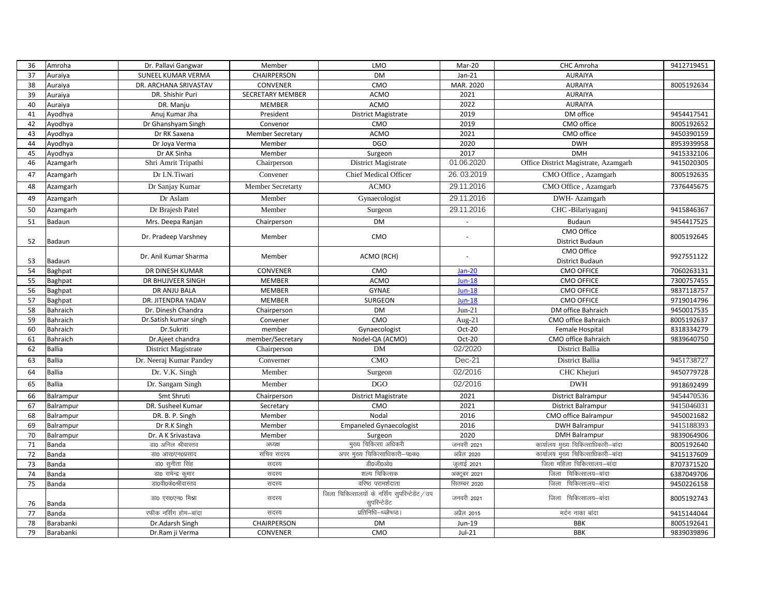| 36 | Amroha        | Dr. Pallavi Gangwar       | Member                  | LMO                                                              | Mar-20       | CHC Amroha                           | 9412719451 |
|----|---------------|---------------------------|-------------------------|------------------------------------------------------------------|--------------|--------------------------------------|------------|
| 37 | Auraiya       | <b>SUNEEL KUMAR VERMA</b> | <b>CHAIRPERSON</b>      | <b>DM</b>                                                        | $Jan-21$     | <b>AURAIYA</b>                       |            |
| 38 | Auraiya       | DR. ARCHANA SRIVASTAV     | CONVENER                | CMO                                                              | MAR. 2020    | <b>AURAIYA</b>                       | 8005192634 |
| 39 | Auraiya       | DR. Shishir Puri          | <b>SECRETARY MEMBER</b> | <b>ACMO</b>                                                      | 2021         | <b>AURAIYA</b>                       |            |
| 40 | Auraiya       | DR. Manju                 | <b>MEMBER</b>           | ACMO                                                             | 2022         | <b>AURAIYA</b>                       |            |
| 41 | Ayodhya       | Anuj Kumar Jha            | President               | <b>District Magistrate</b>                                       | 2019         | DM office                            | 9454417541 |
| 42 | Ayodhya       | Dr Ghanshyam Singh        | Convenor                | CMO                                                              | 2019         | CMO office                           | 8005192652 |
| 43 | Ayodhya       | Dr RK Saxena              | <b>Member Secretary</b> | ACMO                                                             | 2021         | CMO office                           | 9450390159 |
| 44 | Ayodhya       | Dr Joya Verma             | Member                  | <b>DGO</b>                                                       | 2020         | <b>DWH</b>                           | 8953939958 |
| 45 | Ayodhya       | Dr AK Sinha               | Member                  | Surgeon                                                          | 2017         | <b>DMH</b>                           | 9415332106 |
| 46 | Azamgarh      | Shri Amrit Tripathi       | Chairperson             | District Magistrate                                              | 01.06.2020   | Office District Magistrate, Azamgarh | 9415020305 |
| 47 | Azamgarh      | Dr I.N.Tiwari             | Convener                | <b>Chief Medical Officer</b>                                     | 26.03.2019   | CMO Office, Azamgarh                 | 8005192635 |
| 48 | Azamgarh      | Dr Sanjay Kumar           | Member Secretarty       | <b>ACMO</b>                                                      | 29.11.2016   | CMO Office, Azamgarh                 | 7376445675 |
| 49 | Azamgarh      | Dr Aslam                  | Member                  | Gynaecologist                                                    | 29.11.2016   | DWH- Azamgarh                        |            |
| 50 | Azamgarh      | Dr Brajesh Patel          | Member                  | Surgeon                                                          | 29.11.2016   | CHC -Bilariyaganj                    | 9415846367 |
| 51 | Badaun        | Mrs. Deepa Ranjan         | Chairperson             | <b>DM</b>                                                        |              | Budaun                               | 9454417525 |
| 52 | Badaun        | Dr. Pradeep Varshney      | Member                  | CMO                                                              | ÷.           | CMO Office<br>District Budaun        | 8005192645 |
| 53 | Badaun        | Dr. Anil Kumar Sharma     | Member                  | ACMO (RCH)                                                       |              | CMO Office<br>District Budaun        | 9927551122 |
| 54 | Baghpat       | DR DINESH KUMAR           | CONVENER                | CMO                                                              | $Jan-20$     | <b>CMO OFFICE</b>                    | 7060263131 |
| 55 | Baghpat       | DR BHUJVEER SINGH         | <b>MEMBER</b>           | <b>ACMO</b>                                                      | $Jun-18$     | <b>CMO OFFICE</b>                    | 7300757455 |
| 56 | Baghpat       | DR ANJU BALA              | <b>MEMBER</b>           | <b>GYNAE</b>                                                     | $Jun-18$     | <b>CMO OFFICE</b>                    | 9837118757 |
| 57 | Baghpat       | DR. JITENDRA YADAV        | <b>MEMBER</b>           | SURGEON                                                          | $Jun-18$     | <b>CMO OFFICE</b>                    | 9719014796 |
| 58 | Bahraich      | Dr. Dinesh Chandra        | Chairperson             | <b>DM</b>                                                        | $Jun-21$     | DM office Bahraich                   | 9450017535 |
| 59 | Bahraich      | Dr.Satish kumar singh     | Convener                | CMO                                                              | Aug- $21$    | CMO office Bahraich                  | 8005192637 |
| 60 | Bahraich      | Dr.Sukriti                | member                  | Gynaecologist                                                    | Oct-20       | Female Hospital                      | 8318334279 |
| 61 | Bahraich      | Dr.Ajeet chandra          | member/Secretary        | Nodel-QA (ACMO)                                                  | Oct-20       | CMO office Bahraich                  | 9839640750 |
| 62 | <b>Ballia</b> | District Magistrate       | Chairperson             | DM                                                               | 02/2020      | District Ballia                      |            |
| 63 | Ballia        | Dr. Neeraj Kumar Pandey   | Converner               | CMO                                                              | $Dec-21$     | District Ballia                      | 9451738727 |
| 64 | <b>Ballia</b> | Dr. V.K. Singh            | Member                  | Surgeon                                                          | 02/2016      | CHC Khejuri                          | 9450779728 |
| 65 | Ballia        | Dr. Sangam Singh          | Member                  | DGO                                                              | 02/2016      | <b>DWH</b>                           | 9918692499 |
| 66 | Balrampur     | Smt Shruti                | Chairperson             | District Magistrate                                              | 2021         | <b>District Balrampur</b>            | 9454470536 |
| 67 | Balrampur     | DR. Susheel Kumar         | Secretary               | CMO                                                              | 2021         | <b>District Balrampur</b>            | 9415046031 |
| 68 | Balrampur     | DR. B. P. Singh           | Member                  | Nodal                                                            | 2016         | CMO office Balrampur                 | 9450021682 |
| 69 | Balrampur     | Dr R.K Singh              | Member                  | Empaneled Gynaecologist                                          | 2016         | <b>DWH Balrampur</b>                 | 9415188393 |
| 70 | Balrampur     | Dr. A K Srivastava        | Member                  | Surgeon                                                          | 2020         | <b>DMH Balrampur</b>                 | 9839064906 |
| 71 | Banda         | डा0 अनिल श्रीवास्तव       | अध्यक्ष                 | मुख्य चिकित्सा अधिकरी                                            | जनवरी 2021   | कार्यालय मुख्य चिकित्साधिकारी–बांदा  | 8005192640 |
| 72 | Banda         | डा0 आर0एन0प्रसाद          | सचिव सदस्य              | अपर मुख्य चिकित्साधिकारी-प0क0                                    | अप्रैल 2020  | कार्यालय मुख्य चिकित्साधिकारी–बांदा  | 9415137609 |
| 73 | Banda         | डा0 सुनीता सिंह           | सदस्य                   | डी0जी0ओ0                                                         | जुलाई 2021   | जिला महिला चिकित्सालय-बांदा          | 8707371520 |
| 74 | Banda         | डा0 रामेन्द्र कुमार       | सदस्य                   | शल्य चिकित्सक                                                    | अक्टूबर 2021 | जिला चिकित्सालय-बांदा                | 6387049706 |
| 75 | Banda         | डा0वी0के0श्रीवास्तव       | सदस्य                   | वरिष्ठ परामर्शदाता                                               | सितम्बर 2020 | जिला चिकित्सालय-बांदा                | 9450226158 |
| 76 | Banda         | डा0 एस0एन0 मिश्रा         | सदस्य                   | जिला चिकित्सालयों के नर्सिंग सुपरिन्टेडेंट / उप<br>सुपरिन्टेडेंट | जनवरी 2021   | जिला चिकित्सालय-बांदा                | 8005192743 |
| 77 | Banda         | रफीक नर्सिंग होम–बांदा    | सदस्य                   | प्रतिनिधि–थ्ळ्ळैष्ध्प्ड                                          | अप्रैल 2015  | मर्दन नाका बांदा                     | 9415144044 |
| 78 | Barabanki     | Dr.Adarsh Singh           | <b>CHAIRPERSON</b>      | <b>DM</b>                                                        | Jun-19       | <b>BBK</b>                           | 8005192641 |
| 79 | Barabanki     | Dr.Ram ji Verma           | CONVENER                | CMO                                                              | $Jul-21$     | <b>BBK</b>                           | 9839039896 |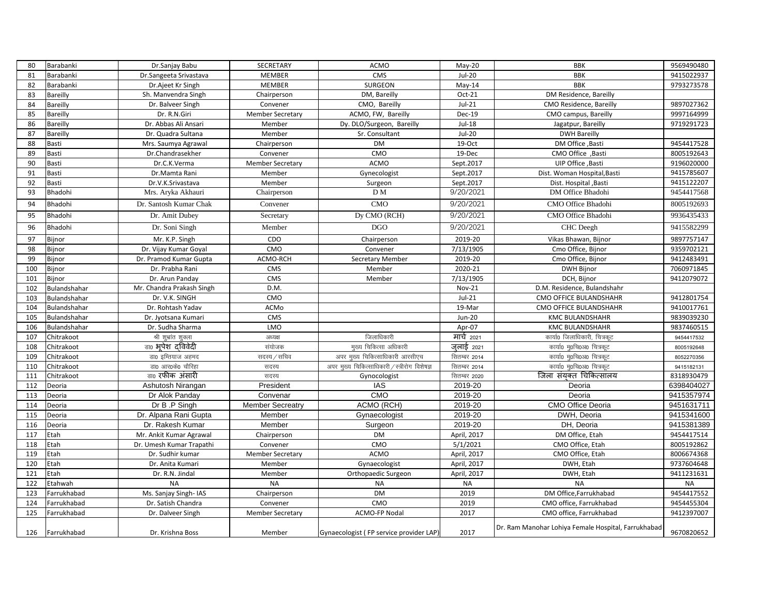| 80  | Barabanki    | Dr.Sanjay Babu            | SECRETARY               | ACMO                                          | $May-20$      | <b>BBK</b>                                          | 9569490480 |
|-----|--------------|---------------------------|-------------------------|-----------------------------------------------|---------------|-----------------------------------------------------|------------|
| 81  | Barabanki    | Dr.Sangeeta Srivastava    | <b>MEMBER</b>           | CMS                                           | $Jul-20$      | <b>BBK</b>                                          | 9415022937 |
| 82  | Barabanki    | Dr.Ajeet Kr Singh         | <b>MEMBER</b>           | <b>SURGEON</b>                                | $May-14$      | <b>BBK</b>                                          | 9793273578 |
| 83  | Bareilly     | Sh. Manvendra Singh       | Chairperson             | DM, Bareilly                                  | Oct-21        | DM Residence, Bareilly                              |            |
| 84  | Bareilly     | Dr. Balveer Singh         | Convener                | CMO, Bareilly                                 | $Jul-21$      | CMO Residence, Bareilly                             | 9897027362 |
| 85  | Bareilly     | Dr. R.N.Giri              | <b>Member Secretary</b> | ACMO, FW, Bareilly                            | <b>Dec-19</b> | CMO campus, Bareilly                                | 9997164999 |
| 86  | Bareilly     | Dr. Abbas Ali Ansari      | Member                  | Dy. DLO/Surgeon, Bareilly                     | $Jul-18$      | Jagatpur, Bareilly                                  | 9719291723 |
| 87  | Bareilly     | Dr. Quadra Sultana        | Member                  | Sr. Consultant                                | $Jul-20$      | <b>DWH Bareilly</b>                                 |            |
| 88  | Basti        | Mrs. Saumya Agrawal       | Chairperson             | <b>DM</b>                                     | 19-Oct        | DM Office, Basti                                    | 9454417528 |
| 89  | Basti        | Dr.Chandrasekher          | Convener                | CMO                                           | 19-Dec        | CMO Office, Basti                                   | 8005192643 |
| 90  | Basti        | Dr.C.K.Verma              | <b>Member Secretary</b> | ACMO                                          | Sept.2017     | UIP Office, Basti                                   | 9196020000 |
| 91  | Basti        | Dr.Mamta Rani             | Member                  | Gynecologist                                  | Sept.2017     | Dist. Woman Hospital, Basti                         | 9415785607 |
| 92  | Basti        | Dr.V.K.Srivastava         | Member                  | Surgeon                                       | Sept.2017     | Dist. Hospital , Basti                              | 9415122207 |
| 93  | Bhadohi      | Mrs. Aryka Akhauri        | Chairperson             | D <sub>M</sub>                                | 9/20/2021     | DM Office Bhadohi                                   | 9454417568 |
| 94  | Bhadohi      | Dr. Santosh Kumar Chak    | Convener                | CMO                                           | 9/20/2021     | CMO Office Bhadohi                                  | 8005192693 |
| 95  | Bhadohi      | Dr. Amit Dubey            | Secretary               | Dy CMO (RCH)                                  | 9/20/2021     | CMO Office Bhadohi                                  | 9936435433 |
| 96  | Bhadohi      | Dr. Soni Singh            | Member                  | <b>DGO</b>                                    | 9/20/2021     | CHC Deegh                                           | 9415582299 |
| 97  | Bijnor       | Mr. K.P. Singh            | CDO                     | Chairperson                                   | 2019-20       | Vikas Bhawan, Bijnor                                | 9897757147 |
| 98  | Bijnor       | Dr. Vijay Kumar Goyal     | CMO                     | Convener                                      | 7/13/1905     | Cmo Office, Bijnor                                  | 9359702121 |
| 99  | Bijnor       | Dr. Pramod Kumar Gupta    | ACMO-RCH                | Secretary Member                              | 2019-20       | Cmo Office, Bijnor                                  | 9412483491 |
| 100 | Bijnor       | Dr. Prabha Rani           | CMS                     | Member                                        | 2020-21       | <b>DWH Bijnor</b>                                   | 7060971845 |
| 101 | Bijnor       | Dr. Arun Panday           | CMS                     | Member                                        | 7/13/1905     | DCH, Bijnor                                         | 9412079072 |
| 102 | Bulandshahar | Mr. Chandra Prakash Singh | D.M.                    |                                               | Nov-21        | D.M. Residence, Bulandshahr                         |            |
| 103 | Bulandshahar | Dr. V.K. SINGH            | CMO                     |                                               | $Jul-21$      | CMO OFFICE BULANDSHAHR                              | 9412801754 |
| 104 | Bulandshahar | Dr. Rohtash Yadav         | ACMo                    |                                               | 19-Mar        | CMO OFFICE BULANDSHAHR                              | 9410017761 |
| 105 | Bulandshahar | Dr. Jyotsana Kumari       | CMS                     |                                               | <b>Jun-20</b> | <b>KMC BULANDSHAHR</b>                              | 9839039230 |
| 106 | Bulandshahar | Dr. Sudha Sharma          | <b>LMO</b>              |                                               | Apr-07        | <b>KMC BULANDSHAHR</b>                              | 9837460515 |
| 107 | Chitrakoot   | श्री शुभ्रांत शुक्ला      | अध्यक्ष                 | जिलाधिकारी                                    | मार्च 2021    | कार्या0 जिलाधिकारी, चित्रकूट                        | 9454417532 |
| 108 | Chitrakoot   | डा0 भूपेश दविवेदी         | संयोजक                  | मख्य चिकित्सा अधिकारी                         | जलाई 2021     | कार्या0 म0चि0अ0 चित्रकट                             | 8005192648 |
| 109 | Chitrakoot   | डा0 इम्तियाज अहमद         | सदस्य / सचिव            | अपर मुख्य चिकित्साधिकारी आरसीएच               | सितम्बर 2014  | कार्या0 मृ0चि0अ0 चित्रकूट                           | 8052270356 |
| 110 | Chitrakoot   | डा0 आर0के0 चौरिहा         | सदस्य                   | अपर मुख्य चिकित्साधिकारी / स्त्रीरोग विशेषज्ञ | सितम्बर 2014  | कार्या0 मृ0चि0अ0 चित्रकूट                           | 9415182131 |
| 111 | Chitrakoot   | डा0 रफीक अंसारी           | सदस्य                   | Gynocologist                                  | सितम्बर 2020  | जिला संयुक्त चिकित्सालय                             | 8318930479 |
| 112 | Deoria       | Ashutosh Nirangan         | President               | <b>IAS</b>                                    | 2019-20       | Deoria                                              | 6398404027 |
| 113 | Deoria       | Dr Alok Panday            | Convenar                | CMO                                           | 2019-20       | Deoria                                              | 9415357974 |
| 114 | Deoria       | Dr B.P Singh              | <b>Member Secreatry</b> | ACMO (RCH)                                    | 2019-20       | CMO Office Deoria                                   | 9451631711 |
| 115 | Deoria       | Dr. Alpana Rani Gupta     | Member                  | Gynaecologist                                 | 2019-20       | DWH, Deoria                                         | 9415341600 |
| 116 | Deoria       | Dr. Rakesh Kumar          | Member                  | Surgeon                                       | 2019-20       | DH, Deoria                                          | 9415381389 |
| 117 | Etah         | Mr. Ankit Kumar Agrawal   | Chairperson             | <b>DM</b>                                     | April, 2017   | DM Office, Etah                                     | 9454417514 |
| 118 | Etah         | Dr. Umesh Kumar Trapathi  | Convener                | CMO                                           | 5/1/2021      | CMO Office, Etah                                    | 8005192862 |
| 119 | Etah         | Dr. Sudhir kumar          | <b>Member Secretary</b> | <b>ACMO</b>                                   | April, 2017   | CMO Office, Etah                                    | 8006674368 |
| 120 | Etah         | Dr. Anita Kumari          | Member                  | Gynaecologist                                 | April, 2017   | DWH, Etah                                           | 9737604648 |
| 121 | Etah         | Dr. R.N. Jindal           | Member                  | Orthopaedic Surgeon                           | April, 2017   | DWH, Etah                                           | 9411231631 |
| 122 | Etahwah      | <b>NA</b>                 | <b>NA</b>               | <b>NA</b>                                     | <b>NA</b>     | <b>NA</b>                                           | <b>NA</b>  |
| 123 | Farrukhabad  | Ms. Sanjay Singh-IAS      | Chairperson             | <b>DM</b>                                     | 2019          | DM Office.Farrukhabad                               | 9454417552 |
| 124 | Farrukhabad  | Dr. Satish Chandra        | Convener                | CMO                                           | 2019          | CMO office, Farrukhabad                             | 9454455304 |
| 125 | Farrukhabad  | Dr. Dalveer Singh         | <b>Member Secretary</b> | ACMO-FP Nodal                                 | 2017          | CMO office, Farrukhabad                             | 9412397007 |
| 126 | Farrukhabad  | Dr. Krishna Boss          | Member                  | Gynaecologist (FP service provider LAP)       | 2017          | Dr. Ram Manohar Lohiya Female Hospital, Farrukhabad | 9670820652 |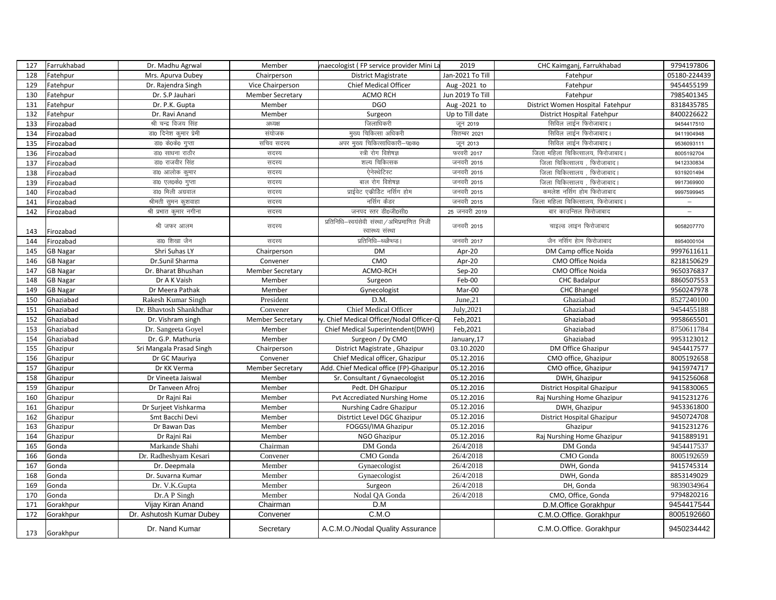| 127 | Farrukhabad     | Dr. Madhu Agrwal         | Member                  | maecologist (FP service provider Mini La                          | 2019             | CHC Kaimganj, Farrukhabad         | 9794197806   |
|-----|-----------------|--------------------------|-------------------------|-------------------------------------------------------------------|------------------|-----------------------------------|--------------|
| 128 | Fatehpur        | Mrs. Apurva Dubey        | Chairperson             | <b>District Magistrate</b>                                        | Jan-2021 To Till | Fatehpur                          | 05180-224439 |
| 129 | Fatehpur        | Dr. Rajendra Singh       | Vice Chairperson        | Chief Medical Officer                                             | Aug-2021 to      | Fatehpur                          | 9454455199   |
| 130 | Fatehpur        | Dr. S.P Jauhari          | <b>Member Secretary</b> | <b>ACMO RCH</b>                                                   | Jun 2019 To Till | Fatehpur                          | 7985401345   |
| 131 | Fatehpur        | Dr. P.K. Gupta           | Member                  | <b>DGO</b>                                                        | Aug-2021 to      | District Women Hospital Fatehpur  | 8318435785   |
| 132 | Fatehpur        | Dr. Ravi Anand           | Member                  | Surgeon                                                           | Up to Till date  | District Hospital Fatehpur        | 8400226622   |
| 133 | Firozabad       | श्री चन्द्र विजय सिंह    | अध्यक्ष                 | जिलाधिकरी                                                         | जून 2019         | सिविल लाईन फिरोजाबाद।             | 9454417510   |
| 134 | Firozabad       | डा0 दिनेश कुमार प्रेमी   | संयोजक                  | मुख्य चिकित्सा अधिकरी                                             | सितम्बर 2021     | सिविल लाईन फिरोजाबाद।             | 9411904948   |
| 135 | Firozabad       | डा0 के0के0 गुप्ता        | सचिव सदस्य              | अपर मुख्य चिकित्साधिकारी-प0क0                                     | जून 2013         | सिविल लाईन फिरोजाबाद।             | 9536093111   |
| 136 | Firozabad       | डा0 साधना राठौर          | सदस्य                   | स्त्री रोग विशेषज्ञ                                               | फरवरी 2017       | जिला महिला चिकित्सालय, फिरोजाबाद। | 8005192704   |
| 137 | Firozabad       | डा0 राजवीर सिंह          | सदस्य                   | शल्य चिकित्सक                                                     | जनवरी 2015       | जिला चिकित्सालय , फिरोजाबाद।      | 9412330834   |
| 138 | Firozabad       | डा0 आलोक कुमार           | सदस्य                   | ऐनेस्थेटिस्ट                                                      | जनवरी 2015       | जिला चिकित्सालय, फिरोजाबाद।       | 9319201494   |
| 139 | Firozabad       | डा0 एल0के0 गुप्ता        | सदस्य                   | बाल रोग विशेषज्ञ                                                  | जनवरी 2015       | जिला चिकित्सालय , फिरोजाबाद।      | 9917369900   |
| 140 | Firozabad       | डा0 मिली अग्रवाल         | सदस्य                   | प्राईवेट एकीडिट नर्सिग होम                                        | जनवरी 2015       | कमलेश नर्सिग होम फिरोजाबाद        | 9997599945   |
| 141 | Firozabad       | श्रीमती सुमन कुशवाहा     | सदस्य                   | नर्सिग कैडर                                                       | जनवरी 2015       | जिला महिला चिकित्सालय, फिरोजाबाद। | $\equiv$     |
| 142 | Firozabad       | श्री प्रभात कुमार नगीना  | सदस्य                   | जनपद स्तर डी0जी0सी0                                               | 25 जनवरी 2019    | बार काउन्सिल फिरोजाबाद            | $\equiv$     |
| 143 | Firozabad       | श्री जफर आलम             | सदस्य                   | प्रतिनिधि-स्वयंसेवी संस्था / अभिप्रमाणित निजी<br>स्वास्थ्य संस्था | जनवरी 2015       | चाइल्ड लाइन फिरोजाबाद             | 9058207770   |
| 144 | Firozabad       | डा0 शिखा जैन             | सदस्य                   | प्रतिनिधि–थ्ळ्ळैप्ध्प्ड                                           | जनवरी 2017       | जैन नर्सिग हेाम फिरोजाबाद         | 8954000104   |
| 145 | <b>GB Nagar</b> | Shri Suhas LY            | Chairperson             | <b>DM</b>                                                         | Apr-20           | DM Camp office Noida              | 9997611611   |
| 146 | GB Nagar        | Dr.Sunil Sharma          | Convener                | CMO                                                               | Apr-20           | CMO Office Noida                  | 8218150629   |
| 147 | <b>GB Nagar</b> | Dr. Bharat Bhushan       | <b>Member Secretary</b> | ACMO-RCH                                                          | Sep-20           | CMO Office Noida                  | 9650376837   |
| 148 | <b>GB Nagar</b> | Dr A K Vaish             | Member                  | Surgeon                                                           | Feb-00           | <b>CHC Badalpur</b>               | 8860507553   |
| 149 | <b>GB Nagar</b> | Dr Meera Pathak          | Member                  | Gynecologist                                                      | Mar-00           | <b>CHC Bhangel</b>                | 9560247978   |
| 150 | Ghaziabad       | Rakesh Kumar Singh       | President               | D.M.                                                              | June, 21         | Ghaziabad                         | 8527240100   |
| 151 | Ghaziabad       | Dr. Bhavtosh Shankhdhar  | Convener                | Chief Medical Officer                                             | July, 2021       | Ghaziabad                         | 9454455188   |
| 152 | Ghaziabad       | Dr. Vishram singh        | <b>Member Secretary</b> | y. Chief Medical Officer/Nodal Officer-Q                          | Feb, 2021        | Ghaziabad                         | 9958665501   |
| 153 | Ghaziabad       | Dr. Sangeeta Goyel       | Member                  | Chief Medical Superintendent(DWH)                                 | Feb, 2021        | Ghaziabad                         | 8750611784   |
| 154 | Ghaziabad       | Dr. G.P. Mathuria        | Member                  | Surgeon / Dy CMO                                                  | January, 17      | Ghaziabad                         | 9953123012   |
| 155 | Ghazipur        | Sri Mangala Prasad Singh | Chairperson             | District Magistrate, Ghazipur                                     | 03.10.2020       | DM Office Ghazipur                | 9454417577   |
| 156 | Ghazipur        | Dr GC Mauriya            | Convener                | Chief Medical officer, Ghazipur                                   | 05.12.2016       | CMO office, Ghazipur              | 8005192658   |
| 157 | Ghazipur        | Dr KK Verma              | <b>Member Secretary</b> | Add. Chief Medical office (FP)-Ghazipur                           | 05.12.2016       | CMO office, Ghazipur              | 9415974717   |
| 158 | Ghazipur        | Dr Vineeta Jaiswal       | Member                  | Sr. Consultant / Gynaecologist                                    | 05.12.2016       | DWH, Ghazipur                     | 9415256068   |
| 159 | Ghazipur        | Dr Tanveen Afroj         | Member                  | Pedt. DH Ghazipur                                                 | 05.12.2016       | District Hospital Ghazipur        | 9415830065   |
| 160 | Ghazipur        | Dr Rajni Rai             | Member                  | Pvt Accrediated Nurshing Home                                     | 05.12.2016       | Raj Nurshing Home Ghazipur        | 9415231276   |
| 161 | Ghazipur        | Dr Surjeet Vishkarma     | Member                  | Nurshing Cadre Ghazipur                                           | 05.12.2016       | DWH, Ghazipur                     | 9453361800   |
| 162 | Ghazipur        | Smt Bacchi Devi          | Member                  | Distrtict Level DGC Ghazipur                                      | 05.12.2016       | District Hospital Ghazipur        | 9450724708   |
| 163 | Ghazipur        | Dr Bawan Das             | Member                  | FOGGSI/IMA Ghazipur                                               | 05.12.2016       | Ghazipur                          | 9415231276   |
| 164 | Ghazipur        | Dr Rajni Rai             | Member                  | NGO Ghazipur                                                      | 05.12.2016       | Raj Nurshing Home Ghazipur        | 9415889191   |
| 165 | Gonda           | Markande Shahi           | Chairman                | DM Gonda                                                          | 26/4/2018        | DM Gonda                          | 9454417537   |
| 166 | Gonda           | Dr. Radheshyam Kesari    | Convener                | CMO Gonda                                                         | 26/4/2018        | CMO Gonda                         | 8005192659   |
| 167 | Gonda           | Dr. Deepmala             | Member                  | Gynaecologist                                                     | 26/4/2018        | DWH, Gonda                        | 9415745314   |
| 168 | Gonda           | Dr. Suvarna Kumar        | Member                  | Gynaecologist                                                     | 26/4/2018        | DWH, Gonda                        | 8853149029   |
| 169 | Gonda           | Dr. V.K.Gupta            | Member                  | Surgeon                                                           | 26/4/2018        | DH, Gonda                         | 9839034964   |
| 170 | Gonda           | Dr.A P Singh             | Member                  | Nodal QA Gonda                                                    | 26/4/2018        | CMO, Office, Gonda                | 9794820216   |
| 171 | Gorakhpur       | Vijay Kiran Anand        | Chairman                | D.M                                                               |                  | D.M.Office Gorakhpur              | 9454417544   |
| 172 | Gorakhpur       | Dr. Ashutosh Kumar Dubey | Convener                | C.M.O                                                             |                  | C.M.O.Office. Gorakhpur           | 8005192660   |
| 173 | Gorakhpur       | Dr. Nand Kumar           | Secretary               | A.C.M.O./Nodal Quality Assurance                                  |                  | C.M.O.Office. Gorakhpur           | 9450234442   |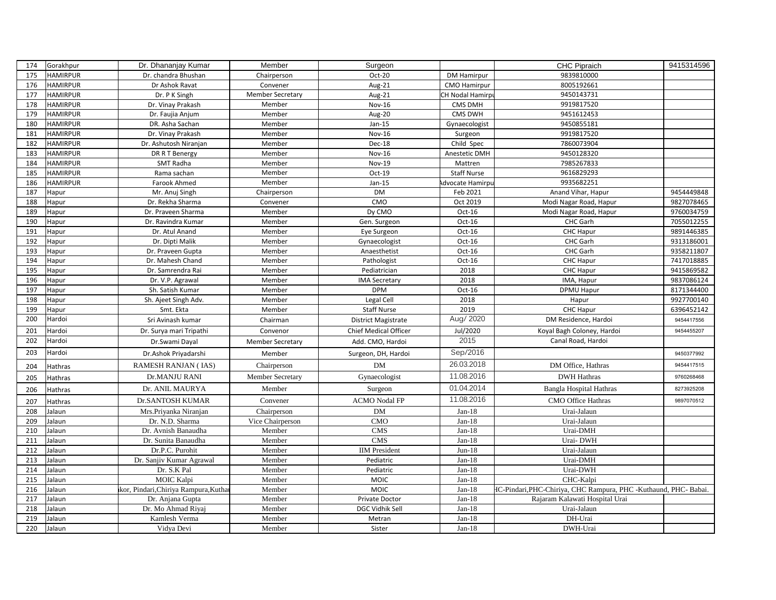| 174 | Gorakhpur       | Dr. Dhananjay Kumar                  | Member                  | Surgeon               |                     | CHC Pipraich                                                     | 9415314596 |
|-----|-----------------|--------------------------------------|-------------------------|-----------------------|---------------------|------------------------------------------------------------------|------------|
| 175 | <b>HAMIRPUR</b> | Dr. chandra Bhushan                  | Chairperson             | Oct-20                | <b>DM Hamirpur</b>  | 9839810000                                                       |            |
| 176 | <b>HAMIRPUR</b> | Dr Ashok Ravat                       | Convener                | Aug-21                | <b>CMO Hamirpur</b> | 8005192661                                                       |            |
| 177 | HAMIRPUR        | Dr. P K Singh                        | <b>Member Secretary</b> | Aug-21                | CH Nodal Hamirp     | 9450143731                                                       |            |
| 178 | <b>HAMIRPUR</b> | Dr. Vinay Prakash                    | Member                  | Nov-16                | CMS DMH             | 9919817520                                                       |            |
| 179 | <b>HAMIRPUR</b> | Dr. Faujia Anjum                     | Member                  | Aug-20                | CMS DWH             | 9451612453                                                       |            |
| 180 | <b>HAMIRPUR</b> | DR. Asha Sachan                      | Member                  | $Jan-15$              | Gynaecologist       | 9450855181                                                       |            |
| 181 | <b>HAMIRPUR</b> | Dr. Vinay Prakash                    | Member                  | <b>Nov-16</b>         | Surgeon             | 9919817520                                                       |            |
| 182 | <b>HAMIRPUR</b> | Dr. Ashutosh Niranjan                | Member                  | Dec-18                | Child Spec          | 7860073904                                                       |            |
| 183 | <b>HAMIRPUR</b> | DR R T Benergy                       | Member                  | <b>Nov-16</b>         | Anestetic DMH       | 9450128320                                                       |            |
| 184 | <b>HAMIRPUR</b> | SMT Radha                            | Member                  | Nov-19                | Mattren             | 7985267833                                                       |            |
| 185 | <b>HAMIRPUR</b> | Rama sachan                          | Member                  | Oct-19                | <b>Staff Nurse</b>  | 9616829293                                                       |            |
| 186 | <b>HAMIRPUR</b> | Farook Ahmed                         | Member                  | $Jan-15$              | Advocate Hamirpu    | 9935682251                                                       |            |
| 187 | Hapur           | Mr. Anuj Singh                       | Chairperson             | <b>DM</b>             | Feb 2021            | Anand Vihar, Hapur                                               | 9454449848 |
| 188 | Hapur           | Dr. Rekha Sharma                     | Convener                | CMO                   | Oct 2019            | Modi Nagar Road, Hapur                                           | 9827078465 |
| 189 | Hapur           | Dr. Praveen Sharma                   | Member                  | Dy CMO                | $Oct-16$            | Modi Nagar Road, Hapur                                           | 9760034759 |
| 190 | Hapur           | Dr. Ravindra Kumar                   | Member                  | Gen. Surgeon          | $Oct-16$            | CHC Garh                                                         | 7055012255 |
| 191 | Hapur           | Dr. Atul Anand                       | Member                  | Eye Surgeon           | $Oct-16$            | CHC Hapur                                                        | 9891446385 |
| 192 | Hapur           | Dr. Dipti Malik                      | Member                  | Gynaecologist         | $Oct-16$            | CHC Garh                                                         | 9313186001 |
| 193 | Hapur           | Dr. Praveen Gupta                    | Member                  | Anaesthetist          | $Oct-16$            | CHC Garh                                                         | 9358211807 |
| 194 | Hapur           | Dr. Mahesh Chand                     | Member                  | Pathologist           | $Oct-16$            | CHC Hapur                                                        | 7417018885 |
| 195 | Hapur           | Dr. Samrendra Rai                    | Member                  | Pediatrician          | 2018                | CHC Hapur                                                        | 9415869582 |
| 196 | Hapur           | Dr. V.P. Agrawal                     | Member                  | <b>IMA Secretary</b>  | 2018                | IMA, Hapur                                                       | 9837086124 |
| 197 | Hapur           | Sh. Satish Kumar                     | Member                  | <b>DPM</b>            | Oct-16              | DPMU Hapur                                                       | 8171344400 |
| 198 | Hapur           | Sh. Ajeet Singh Adv.                 | Member                  | Legal Cell            | 2018                | Hapur                                                            | 9927700140 |
| 199 | Hapur           | Smt. Ekta                            | Member                  | <b>Staff Nurse</b>    | 2019                | CHC Hapur                                                        | 6396452142 |
| 200 | Hardoi          | Sri Avinash kumar                    | Chairman                | District Magistrate   | Aug/ 2020           | DM Residence, Hardoi                                             | 9454417556 |
| 201 | Hardoi          | Dr. Surya mari Tripathi              | Convenor                | Chief Medical Officer | Jul/2020            | Koyal Bagh Coloney, Hardoi                                       | 9454455207 |
| 202 | Hardoi          | Dr.Swami Dayal                       | <b>Member Secretary</b> | Add. CMO, Hardoi      | 2015                | Canal Road, Hardoi                                               |            |
| 203 | Hardoi          | Dr.Ashok Privadarshi                 | Member                  | Surgeon, DH, Hardoi   | Sep/2016            |                                                                  | 9450377992 |
| 204 | Hathras         | RAMESH RANJAN (IAS)                  | Chairperson             | <b>DM</b>             | 26.03.2018          | DM Office, Hathras                                               | 9454417515 |
| 205 | Hathras         | Dr.MANJU RANI                        | Member Secretary        | Gynaecologist         | 11.08.2016          | <b>DWH Hathras</b>                                               | 9760268468 |
| 206 | Hathras         | Dr. ANIL MAURYA                      | Member                  | Surgeon               | 01.04.2014          | <b>Bangla Hospital Hathras</b>                                   | 8273925208 |
| 207 | Hathras         | <b>Dr.SANTOSH KUMAR</b>              | Convener                | <b>ACMO</b> Nodal FP  | 11.08.2016          | <b>CMO Office Hathras</b>                                        | 9897070512 |
| 208 | Jalaun          | Mrs.Priyanka Niranjan                | Chairperson             | <b>DM</b>             | $Jan-18$            | Urai-Jalaun                                                      |            |
| 209 | Jalaun          | Dr. N.D. Sharma                      | Vice Chairperson        | CMO                   | $Jan-18$            | Urai-Jalaun                                                      |            |
| 210 | Jalaun          | Dr. Avnish Banaudha                  | Member                  | <b>CMS</b>            | $Jan-18$            | Urai-DMH                                                         |            |
| 211 | Jalaun          | Dr. Sunita Banaudha                  | Member                  | <b>CMS</b>            | $Jan-18$            | Urai-DWH                                                         |            |
| 212 | Jalaun          | Dr.P.C. Purohit                      | Member                  | <b>IIM</b> President  | $Jun-18$            | Urai-Jalaun                                                      |            |
| 213 | Jalaun          | Dr. Sanjiv Kumar Agrawal             | Member                  | Pediatric             | $Jan-18$            | Urai-DMH                                                         |            |
| 214 | Jalaun          | Dr. S.K Pal                          | Member                  | Pediatric             | $Jan-18$            | Urai-DWH                                                         |            |
| 215 | Jalaun          | MOIC Kalpi                           | Member                  | <b>MOIC</b>           | $Jan-18$            | CHC-Kalpi                                                        |            |
| 216 | Jalaun          | kor, Pindari, Chiriya Rampura, Kutha | Member                  | <b>MOIC</b>           | $Jan-18$            | HC-Pindari, PHC-Chiriya, CHC Rampura, PHC -Kuthaund, PHC- Babai. |            |
| 217 | Jalaun          | Dr. Anjana Gupta                     | Member                  | Private Doctor        | $Jan-18$            | Rajaram Kalawati Hospital Urai                                   |            |
| 218 | Jalaun          | Dr. Mo Ahmad Riyaj                   | Member                  | DGC Vidhik Sell       | $Jan-18$            | Urai-Jalaun                                                      |            |
| 219 | Jalaun          | Kamlesh Verma                        | Member                  | Metran                | $Jan-18$            | DH-Urai                                                          |            |
| 220 | Jalaun          | Vidya Devi                           | Member                  | Sister                | $Jan-18$            | DWH-Urai                                                         |            |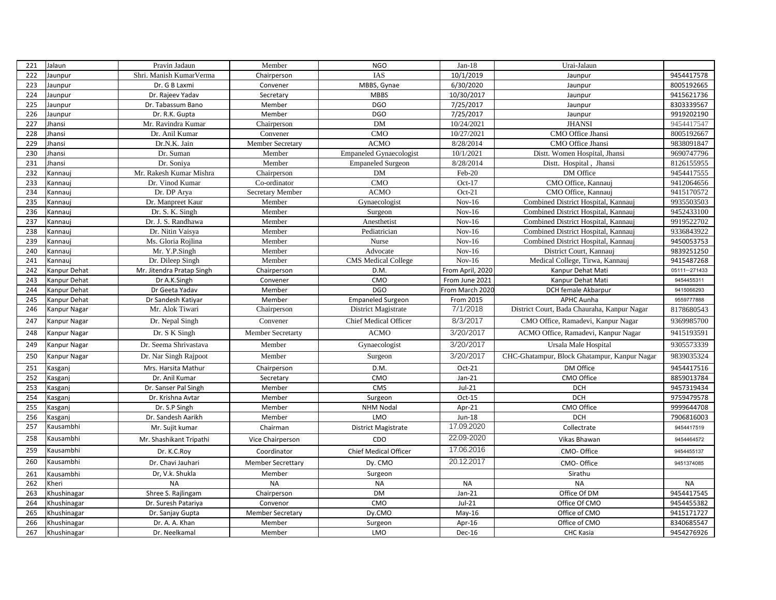| 221 | Jalaun       | Pravin Jadaun             | Member                   | <b>NGO</b>                     | $Jan-18$         | Urai-Jalaun                                  |              |
|-----|--------------|---------------------------|--------------------------|--------------------------------|------------------|----------------------------------------------|--------------|
| 222 | Jaunpur      | Shri. Manish KumarVerma   | Chairperson              | <b>IAS</b>                     | 10/1/2019        | Jaunpur                                      | 9454417578   |
| 223 | Jaunpur      | Dr. G B Laxmi             | Convener                 | MBBS, Gynae                    | 6/30/2020        | Jaunpur                                      | 8005192665   |
| 224 | Jaunpur      | Dr. Rajeev Yadav          | Secretary                | <b>MBBS</b>                    | 10/30/2017       | Jaunpur                                      | 9415621736   |
| 225 | Jaunpur      | Dr. Tabassum Bano         | Member                   | <b>DGO</b>                     | 7/25/2017        | Jaunpur                                      | 8303339567   |
| 226 | Jaunpur      | Dr. R.K. Gupta            | Member                   | <b>DGO</b>                     | 7/25/2017        | Jaunpur                                      | 9919202190   |
| 227 | Jhansi       | Mr. Ravindra Kumar        | Chairperson              | <b>DM</b>                      | 10/24/2021       | <b>JHANSI</b>                                | 9454417547   |
| 228 | Jhansi       | Dr. Anil Kumar            | Convener                 | <b>CMO</b>                     | 10/27/2021       | CMO Office Jhansi                            | 8005192667   |
| 229 | Jhansi       | Dr.N.K. Jain              | Member Secretary         | <b>ACMO</b>                    | 8/28/2014        | CMO Office Jhansi                            | 9838091847   |
| 230 | Jhansi       | Dr. Suman                 | Member                   | <b>Empaneled Gynaecologist</b> | 10/1/2021        | Distt. Women Hospital, Jhansi                | 9690747796   |
| 231 | Jhansi       | Dr. Soniya                | Member                   | <b>Empaneled Surgeon</b>       | 8/28/2014        | Distt. Hospital, Jhansi                      | 8126155955   |
| 232 | Kannauj      | Mr. Rakesh Kumar Mishra   | Chairperson              | DM                             | Feb-20           | DM Office                                    | 9454417555   |
| 233 | Kannauj      | Dr. Vinod Kumar           | Co-ordinator             | <b>CMO</b>                     | Oct-17           | CMO Office, Kannauj                          | 9412064656   |
| 234 | Kannauj      | Dr. DP Arya               | Secretary Member         | <b>ACMO</b>                    | $Oct-21$         | CMO Office, Kannauj                          | 9415170572   |
| 235 | Kannauj      | Dr. Manpreet Kaur         | Member                   | Gynaecologist                  | $Nov-16$         | Combined District Hospital, Kannauj          | 9935503503   |
| 236 | Kannauj      | Dr. S. K. Singh           | Member                   | Surgeon                        | $Nov-16$         | Combined District Hospital, Kannauj          | 9452433100   |
| 237 | Kannauj      | Dr. J. S. Randhawa        | Member                   | Anesthetist                    | $Nov-16$         | Combined District Hospital, Kannauj          | 9919522702   |
| 238 | Kannauj      | Dr. Nitin Vaisya          | Member                   | Pediatrician                   | $Nov-16$         | Combined District Hospital, Kannauj          | 9336843922   |
| 239 | Kannauj      | Ms. Gloria Rojlina        | Member                   | Nurse                          | $Nov-16$         | Combined District Hospital, Kannauj          | 9450053753   |
| 240 | Kannaui      | Mr. Y.P.Singh             | Member                   | Advocate                       | $Nov-16$         | District Court, Kannauj                      | 9839251250   |
| 241 | Kannauj      | Dr. Dileep Singh          | Member                   | <b>CMS</b> Medical College     | $Nov-16$         | Medical College, Tirwa, Kannauj              | 9415487268   |
| 242 | Kanpur Dehat | Mr. Jitendra Pratap Singh | Chairperson              | D.M.                           | From April, 2020 | Kanpur Dehat Mati                            | 05111-271433 |
| 243 | Kanpur Dehat | Dr A.K.Singh              | Convener                 | CMO                            | From June 2021   | Kanpur Dehat Mati                            | 9454455311   |
| 244 | Kanpur Dehat | Dr Geeta Yadav            | Member                   | <b>DGO</b>                     | From March 2020  | DCH female Akbarpur                          | 9415066293   |
| 245 | Kanpur Dehat | Dr Sandesh Katiyar        | Member                   | <b>Empaneled Surgeon</b>       | From 2015        | <b>APHC Aunha</b>                            | 9559777888   |
| 246 | Kanpur Nagar | Mr. Alok Tiwari           | Chairperson              | District Magistrate            | 7/1/2018         | District Court, Bada Chauraha, Kanpur Nagar  | 8178680543   |
| 247 | Kanpur Nagar | Dr. Nepal Singh           | Convener                 | <b>Chief Medical Officer</b>   | 8/3/2017         | CMO Office, Ramadevi, Kanpur Nagar           | 9369985700   |
| 248 | Kanpur Nagar | Dr. S K Singh             | <b>Member Secretarty</b> | <b>ACMO</b>                    | 3/20/2017        | ACMO Office, Ramadevi, Kanpur Nagar          | 9415193591   |
| 249 | Kanpur Nagar | Dr. Seema Shrivastava     | Member                   | Gynaecologist                  | 3/20/2017        | Ursala Male Hospital                         | 9305573339   |
| 250 | Kanpur Nagar | Dr. Nar Singh Rajpoot     | Member                   | Surgeon                        | 3/20/2017        | CHC-Ghatampur, Block Ghatampur, Kanpur Nagar | 9839035324   |
| 251 | Kasganj      | Mrs. Harsita Mathur       | Chairperson              | D.M.                           | Oct-21           | DM Office                                    | 9454417516   |
| 252 | Kasganj      | Dr. Anil Kumar            | Secretary                | CMO                            | $Jan-21$         | CMO Office                                   | 8859013784   |
| 253 | Kasganj      | Dr. Sanser Pal Singh      | Member                   | CMS                            | $Jul-21$         | <b>DCH</b>                                   | 9457319434   |
| 254 | Kasganj      | Dr. Krishna Avtar         | Member                   | Surgeon                        | $Oct-15$         | <b>DCH</b>                                   | 9759479578   |
| 255 | Kasganj      | Dr. S.P Singh             | Member                   | <b>NHM Nodal</b>               | Apr-21           | CMO Office                                   | 9999644708   |
| 256 | Kasganj      | Dr. Sandesh Aarikh        | Member                   | LMO                            | Jun-18           | <b>DCH</b>                                   | 7906816003   |
| 257 | Kausambhi    | Mr. Sujit kumar           | Chairman                 | District Magistrate            | 17.09.2020       | Collectrate                                  | 9454417519   |
| 258 | Kausambhi    | Mr. Shashikant Tripathi   | Vice Chairperson         | CDO                            | 22.09-2020       | Vikas Bhawan                                 | 9454464572   |
| 259 | Kausambhi    | Dr. K.C.Roy               | Coordinator              | Chief Medical Officer          | 17.06.2016       | CMO-Office                                   | 9454455137   |
| 260 | Kausambhi    | Dr. Chavi Jauhari         | <b>Member Secrettary</b> | Dy. CMO                        | 20.12.2017       | CMO- Office                                  | 9451374085   |
| 261 | Kausambhi    | Dr, V.k. Shukla           | Member                   | Surgeon                        |                  | Sirathu                                      |              |
| 262 | Kheri        | <b>NA</b>                 | <b>NA</b>                | <b>NA</b>                      | <b>NA</b>        | <b>NA</b>                                    | <b>NA</b>    |
| 263 | Khushinagar  | Shree S. Rajlingam        | Chairperson              | <b>DM</b>                      | $Jan-21$         | Office Of DM                                 | 9454417545   |
| 264 | Khushinagar  | Dr. Suresh Patariya       | Convenor                 | CMO                            | $Jul-21$         | Office Of CMO                                | 9454455382   |
| 265 | Khushinagar  | Dr. Sanjay Gupta          | <b>Member Secretary</b>  | Dy.CMO                         | $May-16$         | Office of CMO                                | 9415171727   |
| 266 | Khushinagar  | Dr. A. A. Khan            | Member                   | Surgeon                        | Apr-16           | Office of CMO                                | 8340685547   |
| 267 | Khushinagar  | Dr. Neelkamal             | Member                   | LMO                            | Dec-16           | CHC Kasia                                    | 9454276926   |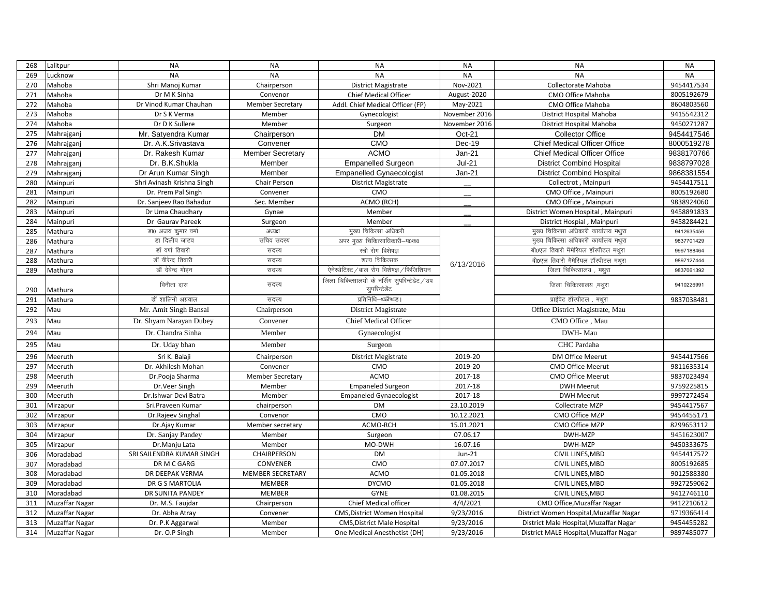| 268 | Lalitpur              | <b>NA</b>                  | <b>NA</b>               | <b>NA</b>                                                        | <b>NA</b>     | <b>NA</b>                               | <b>NA</b>  |
|-----|-----------------------|----------------------------|-------------------------|------------------------------------------------------------------|---------------|-----------------------------------------|------------|
| 269 | Lucknow               | <b>NA</b>                  | <b>NA</b>               | <b>NA</b>                                                        | <b>NA</b>     | <b>NA</b>                               | <b>NA</b>  |
| 270 | Mahoba                | Shri Manoj Kumar           | Chairperson             | <b>District Magistrate</b>                                       | Nov-2021      | Collectorate Mahoba                     | 9454417534 |
| 271 | Mahoba                | Dr M K Sinha               | Convenor                | Chief Medical Officer                                            | August-2020   | CMO Office Mahoba                       | 8005192679 |
| 272 | Mahoba                | Dr Vinod Kumar Chauhan     | <b>Member Secretary</b> | Addl. Chief Medical Officer (FP)                                 | May-2021      | CMO Office Mahoba                       | 8604803560 |
| 273 | Mahoba                | Dr S K Verma               | Member                  | Gynecologist                                                     | November 2016 | <b>District Hospital Mahoba</b>         | 9415542312 |
| 274 | Mahoba                | Dr D K Sullere             | Member                  | Surgeon                                                          | November 2016 | District Hospital Mahoba                | 9450271287 |
| 275 | Mahrajganj            | Mr. Satyendra Kumar        | Chairperson             | <b>DM</b>                                                        | Oct-21        | <b>Collector Office</b>                 | 9454417546 |
| 276 | Mahrajganj            | Dr. A.K.Srivastava         | Convener                | CMO                                                              | Dec-19        | Chief Medical Officer Office            | 8000519278 |
| 277 | Mahrajganj            | Dr. Rakesh Kumar           | <b>Member Secretary</b> | <b>ACMO</b>                                                      | $Jan-21$      | Chief Medical Officer Office            | 9838170766 |
| 278 | Mahrajganj            | Dr. B.K.Shukla             | Member                  | <b>Empanelled Surgeon</b>                                        | <b>Jul-21</b> | <b>District Combind Hospital</b>        | 9838797028 |
| 279 | Mahrajganj            | Dr Arun Kumar Singh        | Member                  | <b>Empanelled Gynaecologist</b>                                  | $Jan-21$      | <b>District Combind Hospital</b>        | 9868381554 |
| 280 | Mainpuri              | Shri Avinash Krishna Singh | Chair Person            | <b>District Magistrate</b>                                       |               | Collectrot, Mainpuri                    | 9454417511 |
| 281 | Mainpuri              | Dr. Prem Pal Singh         | Convener                | CMO                                                              |               | CMO Office, Mainpuri                    | 8005192680 |
| 282 | Mainpuri              | Dr. Sanjeev Rao Bahadur    | Sec. Member             | ACMO (RCH)                                                       |               | CMO Office, Mainpuri                    | 9838924060 |
| 283 | Mainpuri              | Dr Uma Chaudhary           | Gynae                   | Member                                                           |               | District Women Hospital, Mainpuri       | 9458891833 |
| 284 | Mainpuri              | Dr Gaurav Pareek           | Surgeon                 | Member                                                           |               | District Hospial, Mainpuri              | 9458284421 |
| 285 | Mathura               | डा0 अजय कुमार वर्मा        | अध्यक्ष                 | मुख्य चिकित्सा अधिकरी                                            |               | मुख्य चिकित्सा अधिकारी कार्यालय मथुरा   | 9412635456 |
| 286 | Mathura               | डा दिलीप जाटव              | सचिव सदस्य              | अपर मुख्य चिकित्साधिकारी-प0क0                                    |               | मुख्य चिकित्सा अधिकारी कार्यालय मथुरा   | 9837701429 |
| 287 | Mathura               | डॉ वर्षा तिवारी            | सदस्य                   | स्त्री रोग विशेषज्ञ                                              |               | बी0एल तिवारी मैमेरियल हॉस्पीटल मथुरा    | 9997188464 |
| 288 | Mathura               | डॉ वीरेन्द्र तिवारी        | सदस्य                   | शल्य चिकित्सक                                                    | 6/13/2016     | बी0एल तिवारी मैमेरियल हॉस्पीटल मथुरा    | 9897127444 |
| 289 | Mathura               | डॉ देवेन्द्र मोहन          | सदस्य                   | ऐनेस्थेटिस्ट / बाल रोग विशेषज्ञ / फिजिशियन                       |               | जिला चिकित्सालय, मथुरा                  | 9837061392 |
| 290 | Mathura               | विनीता दास                 | सदस्य                   | जिला चिकित्सालयों के नर्सिंग सुपरिन्टेडेंट / उप<br>सुपरिन्टेडेंट |               | जिला चिकित्सालय, मथुरा                  | 9410226991 |
| 291 | Mathura               | डॉ शालिनी अग्रवाल          | सदस्य                   | प्रतिनिधि–थ्ळ्ळैष्ध्प्ड।                                         |               | प्राईवेट हॉस्पीटल, मथुरा                | 9837038481 |
| 292 | Mau                   | Mr. Amit Singh Bansal      | Chairperson             | District Magistrate                                              |               | Office District Magistrate, Mau         |            |
| 293 | Mau                   | Dr. Shyam Narayan Dubey    | Convener                | <b>Chief Medical Officer</b>                                     |               | CMO Office, Mau                         |            |
| 294 | Mau                   | Dr. Chandra Sinha          | Member                  | Gynaecologist                                                    |               | DWH-Mau                                 |            |
| 295 | Mau                   | Dr. Uday bhan              | Member                  | Surgeon                                                          |               | CHC Pardaha                             |            |
| 296 | Meeruth               | Sri K. Balaji              | Chairperson             | <b>District Megistrate</b>                                       | 2019-20       | <b>DM Office Meerut</b>                 | 9454417566 |
| 297 | Meeruth               | Dr. Akhilesh Mohan         | Convener                | CMO                                                              | 2019-20       | <b>CMO Office Meerut</b>                | 9811635314 |
| 298 | Meeruth               | Dr.Pooja Sharma            | <b>Member Secretary</b> | <b>ACMO</b>                                                      | 2017-18       | <b>CMO Office Meerut</b>                | 9837023494 |
| 299 | Meeruth               | Dr.Veer Singh              | Member                  | <b>Empaneled Surgeon</b>                                         | 2017-18       | <b>DWH Meerut</b>                       | 9759225815 |
| 300 | Meeruth               | Dr.Ishwar Devi Batra       | Member                  | <b>Empaneled Gynaecologist</b>                                   | 2017-18       | <b>DWH Meerut</b>                       | 9997272454 |
| 301 | Mirzapur              | Sri.Praveen Kumar          | chairperson             | <b>DM</b>                                                        | 23.10.2019    | Collectrate MZP                         | 9454417567 |
| 302 | Mirzapur              | Dr.Rajeev Singhal          | Convenor                | CMO                                                              | 10.12.2021    | CMO Office MZP                          | 9454455171 |
| 303 | Mirzapur              | Dr.Ajay Kumar              | Member secretary        | ACMO-RCH                                                         | 15.01.2021    | CMO Office MZP                          | 8299653112 |
| 304 | Mirzapur              | Dr. Sanjay Pandey          | Member                  | Surgeon                                                          | 07.06.17      | DWH-MZP                                 | 9451623007 |
| 305 | Mirzapur              | Dr.Manju Lata              | Member                  | MO-DWH                                                           | 16.07.16      | DWH-MZP                                 | 9450333675 |
| 306 | Moradabad             | SRI SAILENDRA KUMAR SINGH  | CHAIRPERSON             | <b>DM</b>                                                        | $Jun-21$      | CIVIL LINES, MBD                        | 9454417572 |
| 307 | Moradabad             | DR M C GARG                | CONVENER                | CMO                                                              | 07.07.2017    | CIVIL LINES, MBD                        | 8005192685 |
| 308 | Moradabad             | DR DEEPAK VERMA            | <b>MEMBER SECRETARY</b> | <b>ACMO</b>                                                      | 01.05.2018    | CIVIL LINES, MBD                        | 9012588380 |
| 309 | Moradabad             | DR G S MARTOLIA            | <b>MEMBER</b>           | <b>DYCMO</b>                                                     | 01.05.2018    | CIVIL LINES, MBD                        | 9927259062 |
| 310 | Moradabad             | DR SUNITA PANDEY           | <b>MEMBER</b>           | <b>GYNE</b>                                                      | 01.08.2015    | CIVIL LINES, MBD                        | 9412746110 |
| 311 | Muzaffar Nagar        | Dr. M.S. Faujdar           | Chairperson             | Chief Medical officer                                            | 4/4/2021      | CMO Office, Muzaffar Nagar              | 9412210612 |
| 312 | Muzaffar Nagar        | Dr. Abha Atray             | Convener                | CMS, District Women Hospital                                     | 9/23/2016     | District Women Hospital, Muzaffar Nagar | 9719366414 |
| 313 | Muzaffar Nagar        | Dr. P.K Aggarwal           | Member                  | <b>CMS, District Male Hospital</b>                               | 9/23/2016     | District Male Hospital, Muzaffar Nagar  | 9454455282 |
| 314 | <b>Muzaffar Nagar</b> | Dr. O.P Singh              | Member                  | One Medical Anesthetist (DH)                                     | 9/23/2016     | District MALE Hospital, Muzaffar Nagar  | 9897485077 |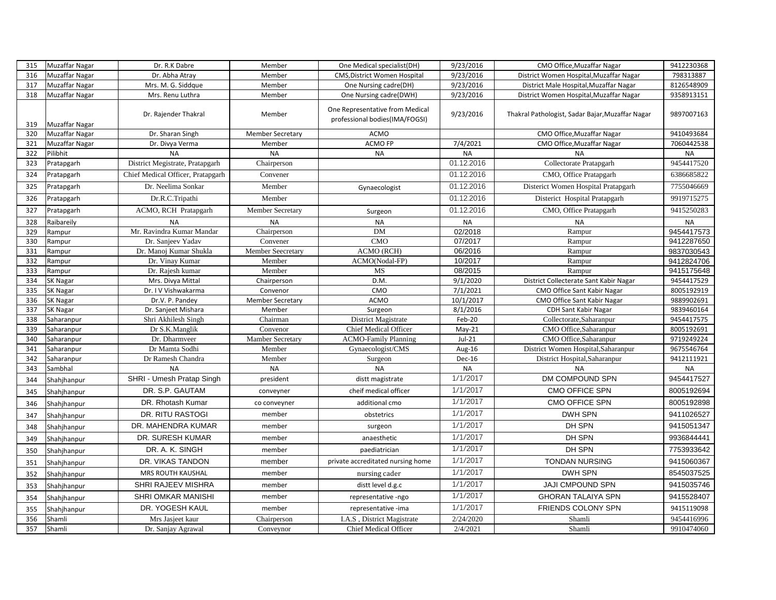| 315 | <b>Muzaffar Nagar</b> | Dr. R.K Dabre                                | Member                  | One Medical specialist(DH)                                        | 9/23/2016            | CMO Office, Muzaffar Nagar                       | 9412230368               |
|-----|-----------------------|----------------------------------------------|-------------------------|-------------------------------------------------------------------|----------------------|--------------------------------------------------|--------------------------|
| 316 | <b>Muzaffar Nagar</b> | Dr. Abha Atray                               | Member                  | <b>CMS, District Women Hospital</b>                               | 9/23/2016            | District Women Hospital, Muzaffar Nagar          | 798313887                |
| 317 | <b>Muzaffar Nagar</b> | Mrs. M. G. Siddque                           | Member                  | One Nursing cadre(DH)                                             | 9/23/2016            | District Male Hospital, Muzaffar Nagar           | 8126548909               |
| 318 | <b>Muzaffar Nagar</b> | Mrs. Renu Luthra                             | Member                  | One Nursing cadre(DWH)                                            | 9/23/2016            | District Women Hospital, Muzaffar Nagar          | 9358913151               |
| 319 | Muzaffar Nagar        | Dr. Rajender Thakral                         | Member                  | One Representative from Medical<br>professional bodies(IMA/FOGSI) | 9/23/2016            | Thakral Pathologist, Sadar Bajar, Muzaffar Nagar | 9897007163               |
| 320 | Muzaffar Nagar        | Dr. Sharan Singh                             | <b>Member Secretary</b> | <b>ACMO</b>                                                       |                      | CMO Office, Muzaffar Nagar                       | 9410493684               |
| 321 | Muzaffar Nagar        | Dr. Divya Verma                              | Member                  | ACMO FP                                                           | 7/4/2021             | CMO Office, Muzaffar Nagar                       | 7060442538               |
| 322 | Pilibhit              | <b>NA</b>                                    | <b>NA</b>               | <b>NA</b>                                                         | <b>NA</b>            | <b>NA</b>                                        | <b>NA</b>                |
| 323 | Pratapgarh            | District Megistrate, Pratapgarh              | Chairperson             |                                                                   | 01.12.2016           | Collectorate Pratapgarh                          | 9454417520               |
| 324 | Pratapgarh            | Chief Medical Officer, Pratapgarh            | Convener                |                                                                   | 01.12.2016           | CMO, Office Pratapgarh                           | 6386685822               |
| 325 | Pratapgarh            | Dr. Neelima Sonkar                           | Member                  | Gynaecologist                                                     | 01.12.2016           | Disterict Women Hospital Pratapgarh              | 7755046669               |
| 326 | Pratapgarh            | Dr.R.C.Tripathi                              | Member                  |                                                                   | 01.12.2016           | Disterict Hospital Pratapgarh                    | 9919715275               |
| 327 | Pratapgarh            | ACMO, RCH Pratapgarh                         | Member Secretary        | Surgeon                                                           | 01.12.2016           | CMO, Office Pratapgarh                           | 9415250283               |
| 328 | Raibareily            | <b>NA</b>                                    | <b>NA</b>               | <b>NA</b>                                                         | <b>NA</b>            | <b>NA</b>                                        | <b>NA</b>                |
| 329 | Rampur                | Mr. Ravindra Kumar Mandar                    | Chairperson             | <b>DM</b>                                                         | 02/2018              | Rampur                                           | 9454417573               |
| 330 | Rampur                | Dr. Sanjeev Yadav                            | Convener                | CMO                                                               | 07/2017              | Rampur                                           | 9412287650               |
| 331 | Rampur                | Dr. Manoj Kumar Shukla                       | Member Seecretary       | ACMO (RCH)                                                        | 06/2016              | Rampur                                           | 9837030543               |
| 332 | Rampur                | Dr. Vinay Kumar                              | Member                  | ACMO(Nodal-FP)                                                    | 10/2017              | Rampur                                           | 9412824706               |
| 333 | Rampur                | Dr. Rajesh kumar                             | Member                  | MS                                                                | 08/2015              | Rampur                                           | 9415175648               |
| 334 | <b>SK Nagar</b>       | Mrs. Divya Mittal                            | Chairperson             | D.M.                                                              | 9/1/2020             | District Collecterate Sant Kabir Nagar           | 9454417529               |
| 335 | <b>SK Nagar</b>       | Dr. I V Vishwakarma                          | Convenor                | CMO                                                               | 7/1/2021             | CMO Office Sant Kabir Nagar                      | 8005192919               |
| 336 | SK Nagar              | Dr.V. P. Pandey                              | <b>Member Secretary</b> | <b>ACMO</b>                                                       | 10/1/2017            | CMO Office Sant Kabir Nagar                      | 9889902691               |
| 337 | SK Nagar              | Dr. Sanjeet Mishara                          | Member                  | Surgeon                                                           | 8/1/2016             | <b>CDH Sant Kabir Nagar</b>                      | 9839460164               |
| 338 | Saharanpur            | Shri Akhilesh Singh                          | Chairman                | District Magistrate                                               | Feb-20               | Collectorate, Saharanpur                         | 9454417575               |
| 339 | Saharanpur            | Dr S.K.Manglik                               | Convenor                | <b>Chief Medical Officer</b>                                      | $May-21$             | CMO Office, Saharanpur                           | 8005192691               |
| 340 | Saharanpur            | Dr. Dharmveer                                | Mamber Secretary        | <b>ACMO-Family Planning</b>                                       | $Jul-21$             | CMO Office, Saharanpur                           | 9719249224               |
| 341 | Saharanpur            | Dr Mamta Sodhi                               | Member                  | Gynaecologist/CMS                                                 | Aug-16               | District Women Hospital, Saharanpur              | 9675546764               |
| 342 | Saharanpur            | Dr Ramesh Chandra                            | Member                  | Surgeon                                                           | Dec-16               | District Hospital, Saharanpur                    | 9412111921               |
| 343 | Sambhal               | <b>NA</b>                                    | <b>NA</b>               | <b>NA</b>                                                         | <b>NA</b>            | <b>NA</b>                                        | <b>NA</b>                |
| 344 | Shahjhanpur           | SHRI - Umesh Pratap Singh<br>DR. S.P. GAUTAM | president               | distt magistrate                                                  | 1/1/2017<br>1/1/2017 | DM COMPOUND SPN<br><b>CMO OFFICE SPN</b>         | 9454417527<br>8005192694 |
| 345 | Shahjhanpur           |                                              | conveyner               | cheif medical officer                                             |                      |                                                  |                          |
| 346 | Shahjhanpur           | DR. Rhotash Kumar                            | co conveyner            | additional cmo                                                    | 1/1/2017<br>1/1/2017 | <b>CMO OFFICE SPN</b>                            | 8005192898               |
| 347 | Shahjhanpur           | DR. RITU RASTOGI                             | member                  | obstetrics                                                        |                      | <b>DWH SPN</b>                                   | 9411026527               |
| 348 | Shahjhanpur           | DR. MAHENDRA KUMAR                           | member                  | surgeon                                                           | 1/1/2017             | DH SPN                                           | 9415051347               |
| 349 | Shahjhanpur           | DR. SURESH KUMAR                             | member                  | anaesthetic                                                       | 1/1/2017             | DH SPN                                           | 9936844441               |
| 350 | Shahjhanpur           | DR. A. K. SINGH                              | member                  | paediatrician                                                     | 1/1/2017             | DH SPN                                           | 7753933642               |
| 351 | Shahjhanpur           | DR. VIKAS TANDON                             | member                  | private accreditated nursing home                                 | 1/1/2017             | <b>TONDAN NURSING</b>                            | 9415060367               |
| 352 | Shahjhanpur           | MRS ROUTH KAUSHAL                            | member                  | nursing cader                                                     | 1/1/2017             | <b>DWH SPN</b>                                   | 8545037525               |
| 353 | Shahjhanpur           | SHRI RAJEEV MISHRA                           | member                  | distt level d.g.c                                                 | 1/1/2017             | <b>JAJI CMPOUND SPN</b>                          | 9415035746               |
| 354 | Shahjhanpur           | <b>SHRI OMKAR MANISHI</b>                    | member                  | representative -ngo                                               | 1/1/2017             | <b>GHORAN TALAIYA SPN</b>                        | 9415528407               |
| 355 | Shahjhanpur           | DR. YOGESH KAUL                              | member                  | representative -ima                                               | 1/1/2017             | FRIENDS COLONY SPN                               | 9415119098               |
| 356 | Shamli                | Mrs Jasjeet kaur                             | Chairperson             | I.A.S, District Magistrate                                        | 2/24/2020            | Shamli                                           | 9454416996               |
| 357 | Shamli                | Dr. Sanjay Agrawal                           | Conveynor               | <b>Chief Medical Officer</b>                                      | 2/4/2021             | Shamli                                           | 9910474060               |